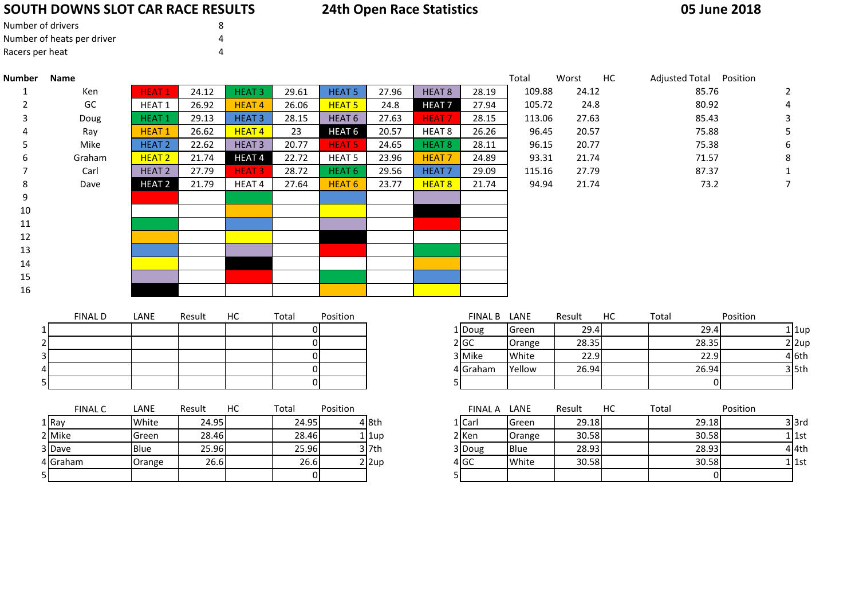# **SOUTH DOWNS SLOT CAR RACE RESULTS**

# **24th Open Race Statistics**

## **05 June 2018**

| Number of drivers          | 8 |
|----------------------------|---|
| Number of heats per driver |   |
| Racers per heat            | Δ |

5

| <b>Number</b> | Name           |                   |        |                   |                |                   |       |                   |              | Total  | Worst  | HC | Adjusted Total Position |       |          |                |
|---------------|----------------|-------------------|--------|-------------------|----------------|-------------------|-------|-------------------|--------------|--------|--------|----|-------------------------|-------|----------|----------------|
|               | Ken            | <b>HEAT1</b>      | 24.12  | <b>HEAT3</b>      | 29.61          | <b>HEAT 5</b>     | 27.96 | HEAT <sub>8</sub> | 28.19        | 109.88 | 24.12  |    |                         | 85.76 |          | $\overline{2}$ |
|               | GC             | HEAT 1            | 26.92  | <b>HEAT4</b>      | 26.06          | HEAT <sub>5</sub> | 24.8  | <b>HEAT7</b>      | 27.94        | 105.72 | 24.8   |    |                         | 80.92 |          | 4              |
| 3             | Doug           | <b>HEAT1</b>      | 29.13  | <b>HEAT3</b>      | 28.15          | HEAT <sub>6</sub> | 27.63 | <b>HEAT7</b>      | 28.15        | 113.06 | 27.63  |    |                         | 85.43 |          |                |
|               | Ray            | <b>HEAT1</b>      | 26.62  | HEAT <sub>4</sub> | 23             | <b>HEAT 6</b>     | 20.57 | HEAT 8            | 26.26        | 96.45  | 20.57  |    |                         | 75.88 |          |                |
|               | Mike           | HEAT <sub>2</sub> | 22.62  | HEAT <sub>3</sub> | 20.77          | <b>HEAT 5</b>     | 24.65 | HEAT 8            | 28.11        | 96.15  | 20.77  |    |                         | 75.38 |          | 6              |
|               | Graham         | <b>HEAT 2</b>     | 21.74  | <b>HEAT4</b>      | 22.72          | HEAT <sub>5</sub> | 23.96 | <b>HEAT7</b>      | 24.89        | 93.31  | 21.74  |    |                         | 71.57 |          | 8              |
|               | Carl           | HEAT <sub>2</sub> | 27.79  | <b>HEAT3</b>      | 28.72          | HEAT <sub>6</sub> | 29.56 | <b>HEAT7</b>      | 29.09        | 115.16 | 27.79  |    |                         | 87.37 |          |                |
| 8             | Dave           | <b>HEAT 2</b>     | 21.79  | HEAT 4            | 27.64          | HEAT <sub>6</sub> | 23.77 | HEAT 8            | 21.74        | 94.94  | 21.74  |    |                         | 73.2  |          |                |
| 9             |                |                   |        |                   |                |                   |       |                   |              |        |        |    |                         |       |          |                |
| $10\,$        |                |                   |        |                   |                |                   |       |                   |              |        |        |    |                         |       |          |                |
| 11            |                |                   |        |                   |                |                   |       |                   |              |        |        |    |                         |       |          |                |
| 12            |                |                   |        |                   |                |                   |       |                   |              |        |        |    |                         |       |          |                |
| 13            |                |                   |        |                   |                |                   |       |                   |              |        |        |    |                         |       |          |                |
| 14            |                |                   |        |                   |                |                   |       |                   |              |        |        |    |                         |       |          |                |
| 15            |                |                   |        |                   |                |                   |       |                   |              |        |        |    |                         |       |          |                |
| 16            |                |                   |        |                   |                |                   |       |                   |              |        |        |    |                         |       |          |                |
|               |                |                   |        |                   |                |                   |       |                   |              |        |        |    |                         |       |          |                |
|               | <b>FINAL D</b> | LANE              | Result | HC                | Total          | Position          |       |                   | FINAL B LANE |        | Result | HC | Total                   |       | Position |                |
|               |                |                   |        |                   | 01             |                   |       |                   | 1 Doug       | Green  | 29.4   |    |                         | 29.4  |          | $1$   1up      |
|               |                |                   |        |                   | $\overline{0}$ |                   |       |                   | 2 GC         | Orange | 28.35  |    |                         | 28.35 |          | $2$  2up       |
|               |                |                   |        |                   | 0              |                   |       |                   | 3 Mike       | White  | 22.9   |    |                         | 22.9  |          | 4 6th          |
|               |                |                   |        |                   | 01             |                   |       |                   | 4 Graham     | Yellow | 26.94  |    |                         | 26.94 |          | $3$ 5th        |
|               |                |                   |        |                   |                |                   |       |                   |              |        |        |    |                         |       |          |                |

<sup>0</sup> <sup>5</sup> <sup>0</sup>

|          | <b>FINAL C</b> | LANE        | Result | HС | Total | Position |              | <b>FINAL A</b> | LANE         | Result | НC | Total |
|----------|----------------|-------------|--------|----|-------|----------|--------------|----------------|--------------|--------|----|-------|
| 1 Ray    |                | White       | 24.95  |    | 24.95 |          | 4 8th        | 1   Carl       | <b>Green</b> | 29.18  |    | 29.18 |
| 2 Mike   |                | lGreen.     | 28.46  |    | 28.46 |          | $1$  1up     | 2 Ken          | Orange       | 30.58  |    | 30.58 |
| 3 Dave   |                | <b>Blue</b> | 25.96  |    | 25.96 |          | 3 7th        | 3 Doug         | <b>Blue</b>  | 28.93  |    | 28.93 |
| 4 Graham |                | Orange      | 26.6   |    | 26.6  |          | $2 \times 2$ | 4 GC           | White        | 30.58  |    | 30.58 |
| 51       |                |             |        |    |       |          |              |                |              |        |    |       |

| FINAL C | LANE        | Result | HC | Total | Position |              | <b>FINAL A</b> | LANE        | Result | НC | Total | Position |  |
|---------|-------------|--------|----|-------|----------|--------------|----------------|-------------|--------|----|-------|----------|--|
|         | White       | 24.95  |    | 24.95 |          | 4 8th        | 1   Carl       | Green       | 29.18  |    | 29.18 | $3$  3rd |  |
|         | Green       | 28.46  |    | 28.46 |          | $1$   1up    | 2 Ken          | Orange      | 30.58  |    | 30.58 | 1 l 1st  |  |
|         | <b>Blue</b> | 25.96  |    | 25.96 |          | $3$ 7th      | 3 Doug         | <b>Blue</b> | 28.93  |    | 28.93 | 4 4th    |  |
| m       | Orange      | 26.6   |    | 26.6  |          | $2 \times 2$ | $4$ GC         | White       | 30.58  |    | 30.58 | 1 1st    |  |
|         |             |        |    |       |          |              |                |             |        |    |       |          |  |